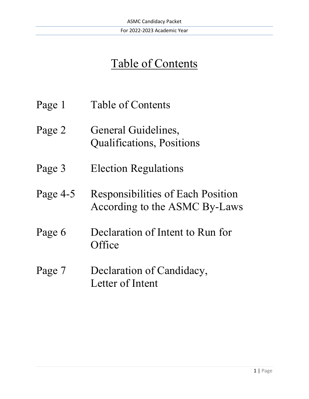# Table of Contents

- Page 1 Table of Contents Page 2 General Guidelines, Qualifications, Positions
- Page 3 Election Regulations
- Page 4-5 Responsibilities of Each Position According to the ASMC By-Laws
- Page 6 Declaration of Intent to Run for **Office**
- Page 7 Declaration of Candidacy, Letter of Intent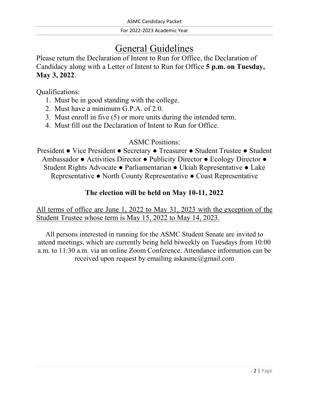## General Guidelines

Please return the Declaration of Intent to Run for Office, the Declaration of Candidacy along with a Letter of Intent to Run for Office **5 p.m. on Tuesday, May 3, 2022**.

Qualifications:

- 1. Must be in good standing with the college.
- 2. Must have a minimum G.P.A. of 2.0.
- 3. Must enroll in five (5) or more units during the intended term.
- 4. Must fill out the Declaration of Intent to Run for Office.

### ASMC Positions:

President ● Vice President ● Secretary ● Treasurer ● Student Trustee ● Student Ambassador ● Activities Director ● Publicity Director ● Ecology Director ● Student Rights Advocate ● Parliamentarian ● Ukiah Representative ● Lake Representative ● North County Representative ● Coast Representative

### **The election will be held on May 10-11, 2022**

All terms of office are June 1, 2022 to May 31, 2023 with the exception of the Student Trustee whose term is May 15, 2022 to May 14, 2023.

All persons interested in running for the ASMC Student Senate are invited to attend meetings, which are currently being held biweekly on Tuesdays from 10:00 a.m. to 11:30 a.m. via an online Zoom Conference. Attendance information can be received upon request by emailing askasmc@gmail.com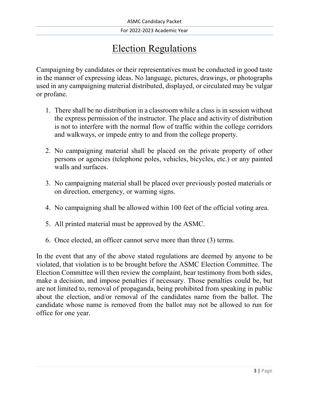## Election Regulations

Campaigning by candidates or their representatives must be conducted in good taste in the manner of expressing ideas. No language, pictures, drawings, or photographs used in any campaigning material distributed, displayed, or circulated may be vulgar or profane.

- 1. There shall be no distribution in a classroom while a class is in session without the express permission of the instructor. The place and activity of distribution is not to interfere with the normal flow of traffic within the college corridors and walkways, or impede entry to and from the college property.
- 2. No campaigning material shall be placed on the private property of other persons or agencies (telephone poles, vehicles, bicycles, etc.) or any painted walls and surfaces.
- 3. No campaigning material shall be placed over previously posted materials or on direction, emergency, or warning signs.
- 4. No campaigning shall be allowed within 100 feet of the official voting area.
- 5. All printed material must be approved by the ASMC.
- 6. Once elected, an officer cannot serve more than three (3) terms.

In the event that any of the above stated regulations are deemed by anyone to be violated, that violation is to be brought before the ASMC Election Committee. The Election Committee will then review the complaint, hear testimony from both sides, make a decision, and impose penalties if necessary. Those penalties could be, but are not limited to, removal of propaganda, being prohibited from speaking in public about the election, and/or removal of the candidates name from the ballot. The candidate whose name is removed from the ballot may not be allowed to run for office for one year.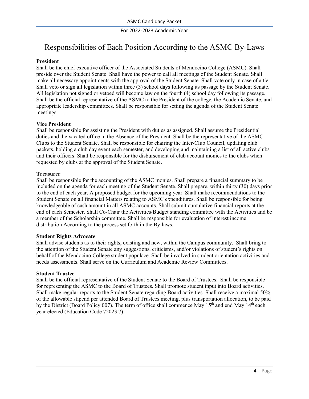## Responsibilities of Each Position According to the ASMC By-Laws

#### **President**

Shall be the chief executive officer of the Associated Students of Mendocino College (ASMC). Shall preside over the Student Senate. Shall have the power to call all meetings of the Student Senate. Shall make all necessary appointments with the approval of the Student Senate. Shall vote only in case of a tie. Shall veto or sign all legislation within three (3) school days following its passage by the Student Senate. All legislation not signed or vetoed will become law on the fourth (4) school day following its passage. Shall be the official representative of the ASMC to the President of the college, the Academic Senate, and appropriate leadership committees. Shall be responsible for setting the agenda of the Student Senate meetings.

#### **Vice President**

Shall be responsible for assisting the President with duties as assigned. Shall assume the Presidential duties and the vacated office in the Absence of the President. Shall be the representative of the ASMC Clubs to the Student Senate. Shall be responsible for chairing the Inter-Club Council, updating club packets, holding a club day event each semester, and developing and maintaining a list of all active clubs and their officers. Shall be responsible for the disbursement of club account monies to the clubs when requested by clubs at the approval of the Student Senate.

#### **Treasurer**

Shall be responsible for the accounting of the ASMC monies. Shall prepare a financial summary to be included on the agenda for each meeting of the Student Senate. Shall prepare, within thirty (30) days prior to the end of each year, A proposed budget for the upcoming year. Shall make recommendations to the Student Senate on all financial Matters relating to ASMC expenditures. Shall be responsible for being knowledgeable of cash amount in all ASMC accounts. Shall submit cumulative financial reports at the end of each Semester. Shall Co-Chair the Activities/Budget standing committee with the Activities and be a member of the Scholarship committee. Shall be responsible for evaluation of interest income distribution According to the process set forth in the By-laws.

#### **Student Rights Advocate**

Shall advise students as to their rights, existing and new, within the Campus community. Shall bring to the attention of the Student Senate any suggestions, criticisms, and/or violations of student's rights on behalf of the Mendocino College student populace. Shall be involved in student orientation activities and needs assessments. Shall serve on the Curriculum and Academic Review Committees.

#### **Student Trustee**

Shall be the official representative of the Student Senate to the Board of Trustees. Shall be responsible for representing the ASMC to the Board of Trustees. Shall promote student input into Board activities. Shall make regular reports to the Student Senate regarding Board activities. Shall receive a maximal 50% of the allowable stipend per attended Board of Trustees meeting, plus transportation allocation, to be paid by the District (Board Policy 007). The term of office shall commence May 15<sup>th</sup> and end May 14<sup>th</sup> each year elected (Education Code 72023.7).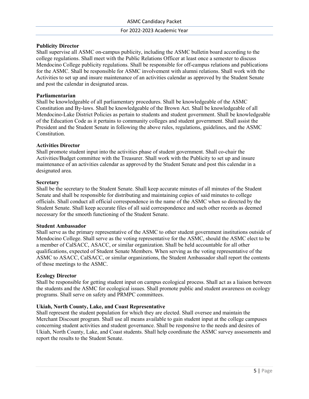#### **Publicity Director**

Shall supervise all ASMC on-campus publicity, including the ASMC bulletin board according to the college regulations. Shall meet with the Public Relations Officer at least once a semester to discuss Mendocino College publicity regulations. Shall be responsible for off-campus relations and publications for the ASMC. Shall be responsible for ASMC involvement with alumni relations. Shall work with the Activities to set up and insure maintenance of an activities calendar as approved by the Student Senate and post the calendar in designated areas.

#### **Parliamentarian**

Shall be knowledgeable of all parliamentary procedures. Shall be knowledgeable of the ASMC Constitution and By-laws. Shall be knowledgeable of the Brown Act. Shall be knowledgeable of all Mendocino-Lake District Policies as pertain to students and student government. Shall be knowledgeable of the Education Code as it pertains to community colleges and student government. Shall assist the President and the Student Senate in following the above rules, regulations, guidelines, and the ASMC Constitution.

#### **Activities Director**

Shall promote student input into the activities phase of student government. Shall co-chair the Activities/Budget committee with the Treasurer. Shall work with the Publicity to set up and insure maintenance of an activities calendar as approved by the Student Senate and post this calendar in a designated area.

#### **Secretary**

Shall be the secretary to the Student Senate. Shall keep accurate minutes of all minutes of the Student Senate and shall be responsible for distributing and maintaining copies of said minutes to college officials. Shall conduct all official correspondence in the name of the ASMC when so directed by the Student Senate. Shall keep accurate files of all said correspondence and such other records as deemed necessary for the smooth functioning of the Student Senate.

#### **Student Ambassador**

Shall serve as the primary representative of the ASMC to other student government institutions outside of Mendocino College. Shall serve as the voting representative for the ASMC, should the ASMC elect to be a member of CalSACC, ASACC, or similar organization. Shall be held accountable for all other qualifications, expected of Student Senate Members. When serving as the voting representative of the ASMC to ASACC, CalSACC, or similar organizations, the Student Ambassador shall report the contents of those meetings to the ASMC.

#### **Ecology Director**

Shall be responsible for getting student input on campus ecological process. Shall act as a liaison between the students and the ASMC for ecological issues. Shall promote public and student awareness on ecology programs. Shall serve on safety and PRMPC committees.

#### **Ukiah, North County, Lake, and Coast Representative**

Shall represent the student population for which they are elected. Shall oversee and maintain the Merchant Discount program. Shall use all means available to gain student input at the college campuses concerning student activities and student governance. Shall be responsive to the needs and desires of Ukiah, North County, Lake, and Coast students. Shall help coordinate the ASMC survey assessments and report the results to the Student Senate.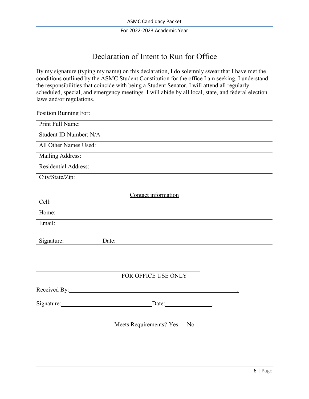## Declaration of Intent to Run for Office

By my signature (typing my name) on this declaration, I do solemnly swear that I have met the conditions outlined by the ASMC Student Constitution for the office I am seeking. I understand the responsibilities that coincide with being a Student Senator. I will attend all regularly scheduled, special, and emergency meetings. I will abide by all local, state, and federal election laws and/or regulations.

| Position Running For:  |       |                                                                                                                      |       |  |
|------------------------|-------|----------------------------------------------------------------------------------------------------------------------|-------|--|
| Print Full Name:       |       |                                                                                                                      |       |  |
| Student ID Number: N/A |       |                                                                                                                      |       |  |
| All Other Names Used:  |       |                                                                                                                      |       |  |
| Mailing Address:       |       |                                                                                                                      |       |  |
| Residential Address:   |       |                                                                                                                      |       |  |
| City/State/Zip:        |       |                                                                                                                      |       |  |
|                        |       | Contact information                                                                                                  |       |  |
| Cell:                  |       |                                                                                                                      |       |  |
| Home:                  |       |                                                                                                                      |       |  |
| Email:                 |       |                                                                                                                      |       |  |
| Signature:             | Date: |                                                                                                                      |       |  |
|                        |       |                                                                                                                      |       |  |
|                        |       |                                                                                                                      |       |  |
|                        |       | FOR OFFICE USE ONLY                                                                                                  |       |  |
| Received By:           |       | <u> 1989 - Johann Barn, mars eta bainar eta bat erroman erroman erroman erroman erroman erroman erroman erroman </u> |       |  |
| Signature:             |       |                                                                                                                      | Date: |  |
|                        |       | Meets Requirements? Yes                                                                                              | No    |  |